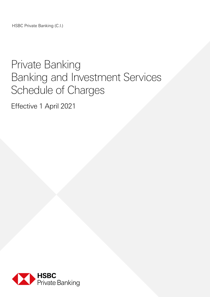HSBC Private Banking (C.I.)

# Private Banking Banking and Investment Services Schedule of Charges

Effective 1 April 2021

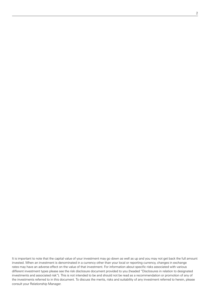It is important to note that the capital value of your investment may go down as well as up and you may not get back the full amount invested. When an investment is denominated in a currency other than your local or reporting currency, changes in exchange rates may have an adverse effect on the value of that investment. For information about specific risks associated with various different investment types please see the risk disclosure document provided to you (headed "Disclosures in relation to designated investments and associated risk"). This is not intended to be and should not be read as a recommendation or promotion of any of the investments referred to in this document. To discuss the merits, risks and suitability of any investment referred to herein, please consult your Relationship Manager.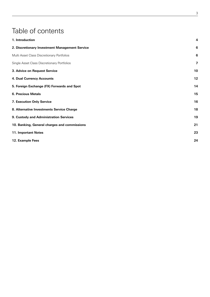# Table of contents

| 1. Introduction                                | 4                       |
|------------------------------------------------|-------------------------|
| 2. Discretionary Investment Management Service | $6\phantom{1}6$         |
| Multi Asset Class Discretionary Portfolios     | $6\phantom{1}6$         |
| Single Asset Class Discretionary Portfolios    | $\overline{\mathbf{z}}$ |
| 3. Advice on Request Service                   | 10                      |
| 4. Dual Currency Accounts                      | 12                      |
| 5. Foreign Exchange (FX) Forwards and Spot     | 14                      |
| <b>6. Precious Metals</b>                      | 15                      |
| 7. Execution Only Service                      | 16                      |
| 8. Alternative Investments Service Charge      | 18                      |
| 9. Custody and Administration Services         | 19                      |
| 10. Banking, General charges and commissions   | 21                      |
| 11. Important Notes                            | 23                      |
| 12. Example Fees                               | 24                      |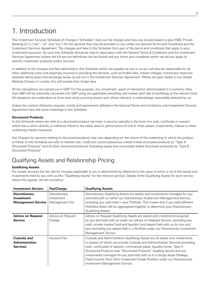### 1. Introduction

This Investment Services Schedule of Charges ("Schedule") sets out the charges and fees you should expect to pay HSBC Private Banking (C.I.) ("we", "us" and "our") for the services that may be provided to you under our General Terms and Conditions and the Investment Services Agreement. The charges and fees in this Schedule form part of the terms and conditions that apply to your investment accounts. As such this Schedule should be read in association with the General Terms & Conditions and the Investment Services Agreement (where the full service definitions can be found) and any terms and conditions which we tell you apply to specific investment products and/or services.

In addition to the charges and fees described in this Schedule which are payable by you to us you will also be responsible for all other additional costs and expenses incurred in providing the services, such as broker fees, market charges, transaction taxes (for example stamp duty) and exchange levies, as set out in the Investment Services Agreement. Where we pass trades to our Global Markets Division in London this will include their broker fees.

All fee calculations are carried out in GBP. For this purpose, any investment, asset or transaction denominated in a currency other than GBP will be notionally converted into GBP using our applicable prevailing mid-market spot rate of exchange at the relevant time. All valuations are undertaken at times and using a pricing source and, where relevant, a methodology reasonably selected by us.

Unless the context otherwise requires, words and expressions defined in the General Terms and Conditions and Investment Services Agreement have the same meanings in this Schedule.

### **Structured Products**

In this Schedule where we refer to a structured product we mean a security typically in the form of a note, certificate or warrant which has a return directly or indirectly linked to the value, level or performance of one or more assets, investments, indices or other underlying market measures.

Our Charges for services relating to structured products may vary depending on the nature of the underlying to which the product is linked. In this Schedule we refer to interest rate, credit and currency/precious metals linked structured products as "Type A Structured Products" and all other structured products (including equity and commodity linked structured products) as "Type B Structured Products".

### Qualifying Assets and Relationship Pricing

### **Qualifying Assets**

For certain services the fee rate for Charges applicable to you is determined by reference to the value of some or all of the assets and investments held by you with us (the "Qualifying Assets" for the relevant service). Details of the Qualifying Assets for each service where this applies, are set out below:

| <b>Investment Service</b>                                       | Fee/Charge                                    | <b>Qualifying Assets</b>                                                                                                                                                                                                                                                                                                                                                                                                                                                                                    |
|-----------------------------------------------------------------|-----------------------------------------------|-------------------------------------------------------------------------------------------------------------------------------------------------------------------------------------------------------------------------------------------------------------------------------------------------------------------------------------------------------------------------------------------------------------------------------------------------------------------------------------------------------------|
| <b>Discretionary</b><br>Investment<br><b>Management Service</b> | Discretionary<br>Investment<br>Management Fee | Discretionary Qualifying Assets are assets and investments managed for you<br>and held with us within our Discretionary Investment Management Service,<br>including any cash held in your Portfolio. This means that if you hold different<br>Portfolios these will be aggregated together to determine your Discretionary<br>Qualifying Assets.                                                                                                                                                            |
| <b>Advice on Request</b><br><b>Service</b>                      | Advice on Request<br>Charge                   | Advice on Request Qualifying Assets are assets and investments acquired<br>by you and held with us under our advice on Request Service, excluding any<br>cash, private market fund and liquidity fund assets held with us for you and<br>also excluding any assets held in a Portfolio under our Discretionary Investment<br>Management Service.                                                                                                                                                            |
| <b>Custody and</b><br><b>Administration</b><br><b>Services</b>  | Account Fee                                   | Custody and Administration Qualifying Assets are all assets and investments<br>in respect of which we provide Custody and Administration Services excluding<br>cash, certificates of deposit, commercial paper, liquidity funds, Type A<br>Structured Products (see "Structured Products" heading above) and any<br>investments managed for you and held with us in a Single Asset Strategy<br>Fixed Income Short Term Investment Grade Portfolio under our Discretionary<br>Investment Management Service. |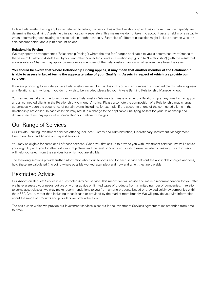Unless Relationship Pricing applies, as referred to below, if a person has a client relationship with us in more than one capacity we determine the Qualifying Assets held in each capacity separately. This means we do not take into account assets held in one capacity when determining fees relating to assets held in another capacity. Examples of different capacities might include a person who is a sole account holder and a joint account holder.

### **Relationship Pricing**

We may operate arrangements ("Relationship Pricing") where the rate for Charges applicable to you is determined by reference to the value of Qualifying Assets held by you and other connected clients in a relationship group (a "Relationshp") (with the result that a lower rate for Charges may apply to one or more members of the Relationship than would otherwise have been the case).

### **You should be aware that where Relationship Pricing applies, it may mean that another member of the Relationship is able to assess in broad terms the aggregate value of your Qualifying Assets in respect of which we provide our services.**

If we are proposing to include you in a Relationship we will discuss this with you and your relevant connected clients before agreeing any Relationship in writing. If you do not wish to be included please let your Private Banking Relationship Manager know.

You can request at any time to withdraw from a Relationship. We may terminate or amend a Relationship at any time by giving you and all connected clients in the Relationship two months' notice. Please also note the composition of a Relationship may change automatically upon the occurrence of certain events including, for example, if the accounts of one of the connected clients in the Relationship are closed. In each case this may result in a change to the applicable Qualifying Assets for your Relationship and different fee rates may apply when calculating your relevant Charges.

### Our Range of Services

Our Private Banking investment services offering includes Custody and Administration, Discretionary Investment Management, Execution Only, and Advice on Request services.

You may be eligible for some or all of these services. When you first ask us to provide you with investment services, we will discuss your eligibility with you together with your objectives and the level of control you wish to exercise when investing. This discussion will help you select from the services for which you are eligible.

The following sections provide further information about our services and for each service sets out the applicable charges and fees, how these are calculated (including where possible worked examples) and how and when they are payable.

### Restricted Advice

Our Advice on Request Service is a "Restricted Advice" service. This means we will advise and make a recommendation for you after we have assessed your needs but we only offer advice on limited types of products from a limited number of companies. In relation to some asset classes, we may make recommendations to you from among products issued or provided solely by companies within the HSBC Group, rather than including those issued or provided by the market more broadly. We will provide you with information about the range of products and providers we offer advice on.

The basis upon which we provide our investment services is set out in the Investment Services Agreement (as amended from time to time).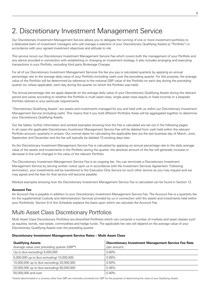# 2. Discretionary Investment Management Service

Our Discretionary Investment Management Service allows you to delegate the running of one or more investment portfolios to a dedicated team of investment managers who will manage a selection of your Discretionary Qualifying Assets (a "Portfolio") in accordance with your agreed investment objectives and attitude to risk.

This service incurs our Discretionary Investment Management Service Fee which covers both the management of your Portfolio and any advice provided in connection with establishing or changing an investment strategy. It also includes arranging and executing transactions in your Portfolio, excluding third party Brokerage Charges.

For all of our Discretionary Investment Management Services the fee you pay is calculated quarterly by applying an annual percentage rate to the average daily value of your Portfolio (including cash) over the preceding quarter. For this purpose, the average value of the Portfolio will be determined by reference to the notional GBP value of the Portfolio on each day during the preceding quarter (or, where applicable, each day during the quarter on which the Portfolio was held).

The annual percentage rate we apply depends on the average daily value of your Discretionary Qualifying Assets during the relevant period and varies according to whether the Portfolio is multi asset class, single asset class (equity or fixed income) or a bespoke Portfolio tailored to your particular requirements.

"Discretionary Qualifying Assets" are assets and investments managed for you and held with us within our Discretionary Investment Management Service (including cash). This means that if you hold different Portfolios these will be aggregated together to determine your Discretionary Qualifying Assets.

Our fee tables, further information and worked examples showing how the Fee is calculated are set out in the following pages. In all cases the applicable Discretionary Investment Management Service Fee will be debited from cash held within the relevant Portfolio account, quarterly in arrears. Our normal dates for calculating the applicable fees are the last business day of March, June, September and December and the fee will typically be debited 10 working days later.

As the Discretionary Investment Management Service Fee is calculated by applying an annual percentage rate to the daily average value of the assets and investments in the Portfolio during the quarter, the absolute amount of the fee will generally increase or decrease in line with changes in the value of the relevant Portfolio.

The Discretionary Investment Management Service Fee is an ongoing fee. You can terminate a Discretionary Investment Management Service by serving written notice upon us in accordance with the Investment Services Agreement. Following termination, your investments will be transferred to the Execution Only Service (or such other service as you may request and we may agree) and the fees for that service will become payable.

Worked examples showing how the Discretionary Investment Management Service Fee is calculated can be found in Section 12.

### **Account Fee**

An Account Fee is payable in addition to your Discretionary Investment Management Service Fee. The Account Fee is a quarterly fee for the supplemental Custody and Administration Services provided by us in connection with the assets and investments held within your Portfolio(s). Section 9 of this Schedule explains the basis upon which we calculate the Account Fee.

### Multi Asset Class Discretionary Portfolios

Multi Asset Class Discretionary Portfolios are diversified Portfolios which can comprise a number of markets and asset classes such as equities, bonds, real estate, commodities and hedge funds. The applicable fee rate will depend on the average value of your Discretionary Qualifying Assets over the preceding quarter.

### **Discretionary Investment Management Service Rates – Multi Asset Class**

| <b>Qualifying Assets</b>                    | <b>Discretionary Investment Management Service Fee Rate</b> |
|---------------------------------------------|-------------------------------------------------------------|
| Average value over preceding quarter (GBP*) | (per annum)                                                 |
| Up to (but excluding) 5,000,000             | $0.60\%$                                                    |
| 5,000,000 up to (but excluding) 10,000,000  | $0.55\%$                                                    |
| 10,000,000 up to (but excluding) 20,000,000 | $0.50\%$                                                    |
| 20,000,000 up to (but excluding) 50,000,000 | 0.45%                                                       |
| 50,000,000 and over                         | 0.40%                                                       |

\*Assets denominated in a currency other than GBP are notionally converted into GBP for the purposes of determining the value of your Qualifying Assets.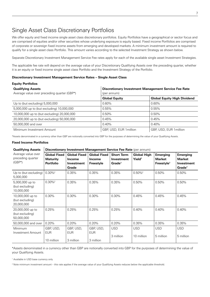### Single Asset Class Discretionary Portfolios

We offer equity and fixed income single asset class discretionary portfolios. Equity Portfolios have a geographical or sector focus and are comprised of equities and/or other securities whose underlying exposure is equity based. Fixed income Portfolios are comprised of corporate or sovereign fixed income assets from emerging and developed markets. A minimum investment amount is required to qualify for a single asset class Portfolio. This amount varies according to the selected Investment Strategy as shown below.

Separate Discretionary Investment Management Service Fee rates apply for each of the available single asset Investment Strategies.

The applicable fee rate will depend on the average value of your Discretionary Qualifying Assets over the preceding quarter, whether it is an equity or fixed income single asset class Portfolio and the Investment Strategy of the Portfolio.

#### **Discretionary Investment Management Service Rates – Single Asset Class**

| <b>Equity Portfolios</b>                                                |                                                                            |                                    |  |  |  |  |  |
|-------------------------------------------------------------------------|----------------------------------------------------------------------------|------------------------------------|--|--|--|--|--|
| <b>Qualifying Assets</b><br>Average value over preceding quarter (GBP*) | <b>Discretionary Investment Management Service Fee Rate</b><br>(per annum) |                                    |  |  |  |  |  |
|                                                                         | <b>Global Equity</b>                                                       | <b>Global Equity High Dividend</b> |  |  |  |  |  |
| Up to (but excluding) 5,000,000                                         | 0.60%                                                                      | $0.60\%$                           |  |  |  |  |  |
| 5,000,000 up to (but excluding) 10,000,000                              | 0.55%                                                                      | 0.55%                              |  |  |  |  |  |
| 10,000,000 up to (but excluding) 20,000,000                             | 0.50%                                                                      | 0.50%                              |  |  |  |  |  |
| 20,000,000 up to (but excluding) 50,000,000                             | 0.45%                                                                      | 0.45%                              |  |  |  |  |  |
| 50,000,000 and over                                                     | 0.40%                                                                      | 0.40%                              |  |  |  |  |  |
| Minimum Investment Amount                                               | GBP, USD, EUR 1 million                                                    | GBP. USD. EUR 1 million            |  |  |  |  |  |

\*Assets denominated in a currency other than GBP are notionally converted into GBP for the purposes of determining the value of your Qualifying Assets.

### **Fixed Income Portfolios**

| <b>Qualifying Assets</b>                            | Discretionary Investment Management Service Fee Rate (per annum) |                                                      |                                            |                                                       |                                          |                                                            |                                                               |
|-----------------------------------------------------|------------------------------------------------------------------|------------------------------------------------------|--------------------------------------------|-------------------------------------------------------|------------------------------------------|------------------------------------------------------------|---------------------------------------------------------------|
| Average value over<br>preceding quarter<br>$(GBP*)$ | <b>Global Fixed</b><br><b>Maturity</b><br><b>Portfolio</b>       | <b>Global Fixed</b><br>Income<br>Investment<br>Grade | <b>Global Fixed</b><br>Income<br>Freestyle | <b>Short Term</b><br>Investment<br>Grade <sup>1</sup> | <b>Global High</b><br>Yield <sup>1</sup> | <b>Emerging</b><br><b>Market</b><br>Freestyle <sup>1</sup> | Emerging<br><b>Market</b><br>Investment<br>Grade <sup>1</sup> |
| Up to (but excluding)<br>5,000,000                  | $0.30\%$ <sup>2</sup>                                            | 0.35%                                                | 0.35%                                      | 0.35%                                                 | $0.50\%$ <sup>2</sup>                    | 0.50%                                                      | 0.50%                                                         |
| 5,000,000 up to<br>(but excluding)<br>10,000,000    | $0.30\%$ <sup>2</sup>                                            | 0.35%                                                | 0.35%                                      | 0.35%                                                 | 0.50%                                    | 0.50%                                                      | 0.50%                                                         |
| 10,000,000 up to<br>(but excluding)<br>20,000,000   | 0.30%                                                            | 0.30%                                                | 0.30%                                      | 0.30%                                                 | 0.45%                                    | 0.45%                                                      | 0.45%                                                         |
| 20,000,000 up to<br>(but excluding)<br>50,000,000   | 0.25%                                                            | 0.25%                                                | 0.25%                                      | 0.25%                                                 | 0.40%                                    | 0.40%                                                      | 0.40%                                                         |
| 50,000,000 and over                                 | 0.20%                                                            | 0.20%                                                | 0.20%                                      | 0.20%                                                 | 0.35%                                    | 0.35%                                                      | 0.35%                                                         |
| Minimum<br>Investment Amount                        | GBP, USD,<br><b>EUR</b>                                          | GBP, USD,<br><b>EUR</b>                              | GBP, USD,<br><b>EUR</b>                    | <b>USD</b><br>3 million                               | <b>USD</b><br>10 million                 | <b>USD</b><br>5 million                                    | <b>USD</b><br>5 million                                       |
|                                                     | 10 million                                                       | 3 million                                            | 3 million                                  |                                                       |                                          |                                                            |                                                               |

\*Assets denominated in a currency other than GBP are notionally converted into GBP for the purposes of determining the value of your Qualifying Assets.

1 Available in USD base currency only

<sup>2</sup> Note minimum investment amount – this rate applies if the average value of your Qualifying Assets reduces below the applicable threshold.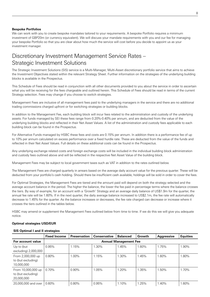### **Bespoke Portfolios**

We can work with you to create bespoke mandates tailored to your requirements. A bespoke Portfolio requires a minimum investment of GBP20m (or currency equivalent). We will discuss your mandate requirements with you and our fee for managing your bespoke Portfolio so that you are clear about how much the service will cost before you decide to appoint us as your investment manager.

### Discretionary Investment Management Service Rates – Strategic Investment Solutions

The Strategic Investment Solutions (SIS) service is a Multi-Manager, Multi-Asset discretionary portfolio service that aims to achieve the Investment Objectives stated within the relevant Strategy Sheet. Further information on the strategies of the underlying building blocks is available in the Prospectus.

This Schedule of Fees should be read in conjunction with all other documents provided to you about the service in order to ascertain what you will be receiving for the fees chargeable and outlined herein. This Schedule of Fees should be read in terms of the current Strategy selection. Fees may change if you choose to switch strategies.

Management Fees are inclusive of all management fees paid to the underlying managers in the service and there are no additional trading commissions charged upfront or for switching strategies or building blocks.

In addition to the Management Fee, each building block will incur fees related to the administration and custody of the underlying assets. For funds managed by SEI these fees range from 0.20%-0.40% per annum, and are deducted from the value of the underlying building blocks and reflected in their Net Asset Values. A list of the administration and custody fees applicable to each building block can be found in the Prospectus.

For Alternative Funds managed by HSBC these fees and costs are 0.15% per annum. In addition there is a performance fee of up to 10% per annum calculated on excess performance over a fixed hurdle rate. These are deducted from the value of the funds and reflected in their Net Asset Values. Full details on these additional costs can be found in the Prospectus.

Any underlying exchange related costs and foreign exchange costs will be included in the individual building block administration and custody fees outlined above and will be reflected in the respective Net Asset Value of the building block.

Management Fees may be subject to local government taxes such as VAT in addition to the rates outlined below.

The Management Fees are charged quarterly in arrears based on the average daily account value for the previous quarter. These will be deducted from your portfolio's cash holding. Should there be insufficient cash available, holdings will be sold in order to cover the fees.

For Optimal Strategies, the Management Fees are tiered and the amount paid will depend on both the strategy selected and the average account balance in the period. The higher the balance, the lower the fee paid in percentage terms where the balance crosses the tiers. By way of example, for an account with a 'Growth' Strategy and an average daily balance of US\$1.9m for the quarter, the annual fee rate will be 1.60%. If in the next quarter, the daily average balance increased to US\$2.1m, the fee rate will automatically decrease to 1.45% for the quarter. As the balance increases or decreases, the fee rate charged can decrease or increase where it crosses the tiers outlined in the tables below.

HSBC may amend or supplement the Management Fees outlined below from time to time. If we do this we will give you adequate notice.

### **Optimal strategies USD/EUR**

### **SIS Optimal I and II strategies**

|                                                        | <b>Fixed Income</b> | <b>Preservation</b> | <b>Conservative</b> | <b>Balanced</b>              | <b>Growth</b> | Aggressive | <b>Equities</b> |
|--------------------------------------------------------|---------------------|---------------------|---------------------|------------------------------|---------------|------------|-----------------|
| For account value                                      |                     |                     |                     | <b>Annual Management Fee</b> |               |            |                 |
| Up to (but<br>excluding) 2,000,000                     | 0.95%               | 1.15%               | 1.30%               | 1.45%                        | $.60\%$       | 1.75%      | 1.90%           |
| From 2,000,000 up<br>to (but excluding)<br>10,000,000  | 0.80%               | 1.00%               | 1.15%               | 1.30%                        | 1.45%         | 1.60%      | 1.80%           |
| From 10,000,000 up<br>to (but excluding)<br>20,000,000 | $0.70\%$            | $0.90\%$            | 1.05%               | 1.20%                        | 1.35%         | 1.50%      | 1.70%           |
| 20,000,000 and over                                    | 0.60%               | 0.80%               | 0.95%               | 1.10%                        | 1.25%         | 1.40%      | 1.60%           |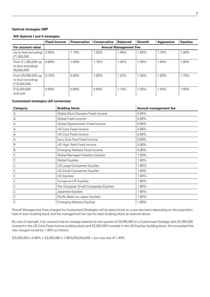### **Optimal strategies GBP**

### **SIS Optimal I and II strategies**

|                                                         | <b>Fixed Income</b> | <b>Preservation</b> | <b>Conservative</b> | <b>Balanced</b>              | Growth | <b>Aggressive</b> | <b>Equities</b> |
|---------------------------------------------------------|---------------------|---------------------|---------------------|------------------------------|--------|-------------------|-----------------|
| For account value                                       |                     |                     |                     | <b>Annual Management Fee</b> |        |                   |                 |
| Up to (but excluding)<br>£1,300,000                     | 0.95%               | 1.15%               | 1.30%               | 1.45%                        | 1.60%  | 1.75%             | 1.90%           |
| From £1,300,000 up<br>to (but excluding)<br>£6,600,000  | $0.80\%$            | $1.00\%$            | 1.15%               | $.30\%$                      | 1.45%  | 1.60%             | 1.80%           |
| From £6,600,000 up<br>to (but excluding)<br>£13,200,000 | $0.70\%$            | $0.90\%$            | 1.05%               | 1.20%                        | 1.35%  | 1.50%             | 1.70%           |
| £13,200,000<br>and over                                 | $0.60\%$            | 0.80%               | 0.95%               | 1.10%                        | 1.25%  | 1.40%             | 1.60%           |

### **Customised strategies (All currencies)**

| Category     | <b>Building block</b>                     | Annual management fee |
|--------------|-------------------------------------------|-----------------------|
| Α            | <b>Global Short Duration Fixed Income</b> | 0.80%                 |
| А            | Global Fixed Income                       | 0.80%                 |
| А            | Global Opportunistic Fixed Income         | 0.80%                 |
| А            | US Core Fixed Income                      | 0.80%                 |
| А            | UK Core Fixed Income                      | 0.80%                 |
| А            | Euro Core Plus Fixed Income               | 0.80%                 |
| $\sf B$      | US High Yield Fixed Income                | 0.90%                 |
| $\sf B$      | <b>Emerging Markets Fixed Income</b>      | 0.90%                 |
| С            | <b>Global Managed Volatility Equities</b> | 1.80%                 |
| С            | <b>Global Equities</b>                    | 1.80%                 |
| С            | US Large Companies Equities               | 1.80%                 |
| C            | US Small Companies Equities               | 1.80%                 |
| C            | <b>UK Equities</b>                        | 1.80%                 |
| C            | Europe ex-UK Equities                     | 1.80%                 |
| $\mathsf{C}$ | Pan European Small Companies Equities     | 1.80%                 |
| C            | Japanese Equities                         | 1.80%                 |
| C            | Pacific Basin ex-Japan Equities           | 1.80%                 |
|              | <b>Emerging Markets Equities</b>          | 1.80%                 |

Overall Management Fees charged for Customised Strategies will be determined on a pro-rata basis depending on the proportion held of each building block and the management fee rate for each building block as outlined above.

By way of example, if an account had an average balance for the quarter of £5,000,000 in a Customised Strategy with £2,000,000 invested in the US Core Fixed Income building block and £3,000,000 invested in the UK Equities building block, the annualised fee rate charged would be 1.40% as follows:

 $(E2,000,000 \times 0.80\% + E3,000,000 \times 1.80\% / E5,000,000 =$  pro-rata rate of 1.40%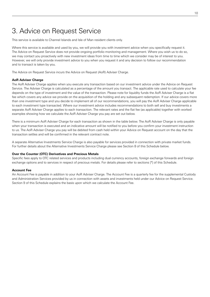# 3. Advice on Request Service

This service is available to Channel Islands and Isle of Man resident clients only.

Where this service is available and used by you, we will provide you with investment advice when you specifically request it. The Advice on Request Service does not provide ongoing portfolio monitoring and management. Where you wish us to do so, we may contact you proactively with new investment ideas from time to time which we consider may be of interest to you. However, we will only provide investment advice to you when you request it and any decision to follow our recommendation and to transact is taken by you.

The Advice on Request Service incurs the Advice on Request (AoR) Adviser Charge.

### **AoR Adviser Charge**

The AoR Adviser Charge applies when you execute any transaction based on our investment advice under the Advice on Request Service. The Adviser Charge is calculated as a percentage of the amount you transact. The applicable rate used to calculate your fee depends on the type of investment and the value of the transaction. Please note for liquidity funds the AoR Adviser Charge is a flat fee which covers any advice we provide on the acquisition of the holding and any subsequent redemption. If our advice covers more than one investment type and you decide to implement all of our recommendations, you will pay the AoR Adviser Charge applicable to each investment type transacted. Where our investment advice includes recommendations to both sell and buy investments a separate AoR Adviser Charge applies to each transaction. The relevant rates and the flat fee (as applicable) together with worked examples showing how we calculate the AoR Adviser Charge you pay are set out below.

There is a minimum AoR Adviser Charge for each transaction as shown in the table below. The AoR Adviser Charge is only payable when your transaction is executed and an indicative amount will be notified to you before you confirm your investment instruction to us. The AoR Adviser Charge you pay will be debited from cash held within your Advice on Request account on the day that the transaction settles and will be confirmed in the relevant contract note.

A separate Alternative Investments Service Charge is also payable for services provided in connection with private market funds. For further details about the Alternative Investments Service Charge please see Section 8 of this Schedule below.

### **Over the Counter (OTC) Derivatives and Precious Metals**

Specific fees apply to OTC related services and products including dual currency accounts, foreign exchange forwards and foreign exchange options and to services in respect of precious metals. For details please refer to sections [\*] of this Schedule.

### **Account Fee**

An Account Fee is payable in addition to your AoR Adviser Charge. The Account Fee is a quarterly fee for the supplemental Custody and Administration Services provided by us in connection with assets and investments held under our Advice on Request Service. Section 9 of this Schedule explains the basis upon which we calculate the Account Fee.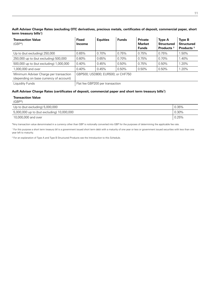### **AoR Adviser Charge Rates (excluding OTC derivatives, precious metals, certificates of deposit, commercial paper, short term treasury bills1)**

| <b>Transaction Value</b><br>$(GBP*)$                                              | <b>Fixed</b><br><b>Income</b>     | <b>Equities</b> | <b>Funds</b> | <b>Private</b><br><b>Market</b><br><b>Funds</b> | <b>Type A</b><br><b>Structured</b><br>Products <sup>2</sup> | <b>Type B</b><br><b>Structured</b><br>Products <sup>2</sup> |
|-----------------------------------------------------------------------------------|-----------------------------------|-----------------|--------------|-------------------------------------------------|-------------------------------------------------------------|-------------------------------------------------------------|
| Up to (but excluding) 250,000                                                     | 0.65%                             | 0.70%           | 0.75%        | 0.75%                                           | 0.75%                                                       | 1.50%                                                       |
| 250,000 up to (but excluding) 500,000                                             | 0.60%                             | 0.65%           | 0.70%        | 0.75%                                           | 0.70%                                                       | 1.40%                                                       |
| 500,000 up to (but excluding) 1,000,000                                           | 0.40%                             | 0.45%           | 0.50%        | 0.75%                                           | 0.50%                                                       | 1.20%                                                       |
| 1,000,000 and over                                                                | 0.40%                             | 0.45%           | 0.50%        | 0.50%                                           | 0.50%                                                       | 1.20%                                                       |
| Minimum Adviser Charge per transaction<br>(depending on base currency of account) | GBP500: USD800: EUR500: or CHF750 |                 |              |                                                 |                                                             |                                                             |
| Liquidity Funds                                                                   | Flat fee GBP200 per transaction   |                 |              |                                                 |                                                             |                                                             |

### **AoR Adviser Charge Rates (certificates of deposit, commercial paper and short term treasury bills1)**

### **Transaction Value**

(GBP\*)

| Up to (but excluding) 5,000,000            | 0.35%    |
|--------------------------------------------|----------|
| 5,000,000 up to (but excluding) 10,000,000 | $0.30\%$ |
| 10,000,000 and over                        | 0.25%    |

\*Any transaction value denominated in a currency other than GBP is notionally converted into GBP for the purposes of determining the applicable fee rate.

<sup>1</sup> For this purpose a short term treasury bll is a government issued short term debt with a maturity of one year or less or government issued securities with less than one year left to maturity.

2 For an explanation of Type A and Type B Structured Products see the Introduction to this Schedule.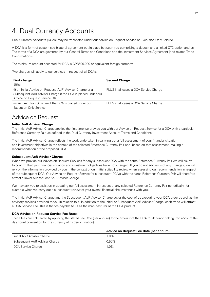# 4. Dual Currency Accounts

Dual Currency Accounts (DCAs) may be transacted under our Advice on Request Service or Execution Only Service

A DCA is a form of customised bilateral agreement put in place between you comprising a deposit and a linked OTC option and us. The terms of a DCA are governed by our General Terms and Conditions and the Investment Services Agreement (and related Trade Confirmations).

The minimum amount accepted for DCA is GPB500,000 or equivalent foreign currency.

Two charges will apply to our services in respect of all DCAs:

| <b>First charge</b><br>Either                                                                                                                              | <b>Second Charge</b>                   |
|------------------------------------------------------------------------------------------------------------------------------------------------------------|----------------------------------------|
| (i) an Initial Advice on Request (AoR) Adviser Charge or a<br>Subsequent AoR Adviser Charge if the DCA is placed under our<br>Advice on Request Service OR | PLUS in all cases a DCA Service Charge |
| (ii) an Execution Only Fee if the DCA is placed under our<br>Execution Only Service.                                                                       | PLUS in all cases a DCA Service Charge |

### Advice on Request

### **Initial AoR Adviser Charge**

The Initial AoR Adviser Charge applies the first time we provide you with our Advice on Request Service for a DCA with a particular Reference Currency Pair (as defined in the Dual Currency Investment Account Terms and Conditions).

The Initial AoR Adviser Charge reflects the work undertaken in carrying out a full assessment of your financial situation and investment objectives in the context of the selected Reference Currency Pair and, based on that assessment, making a recommendation of the proposed DCA.

### **Subsequent AoR Adviser Charge**

When we provide our Advice on Request Services for any subsequent DCA with the same Reference Currency Pair we will ask you to confirm that your financial situation and investment objectives have not changed. If you do not advise us of any changes, we will rely on the information provided by you in the context of our initial suitability review when assessing our recommendation in respect of the subsequent DCA. Our Advice on Request Service for subsequent DCA's with the same Reference Currency Pair will therefore attract a lower Subsequent AoR Adviser Charge.

We may ask you to assist us in updating our full assessment in respect of any selected Reference Currency Pair periodically, for example when we carry out a subsequent review of your overall financial circumstances with you.

The Initial AoR Adviser Charge and the Subsequent AoR Adviser Charge cover the cost of us executing your DCA order as well as the advisory services provided to you in relation to it. In addition to the Initial or Subsequent AoR Adviser Charge, each trade will attract a DCA Service Fee. This is the fee payable to us as the manufacturer of the DCA product.

#### **DCA Advice on Request Service Fee Rates:**

These fees are calculated by applying the stated Fee Rate (per annum) to the amount of the DCA for its tenor (taking into account the day count convention for the currency of its denomination).

|                               | Advice on Request Fee Rate (per annum) |
|-------------------------------|----------------------------------------|
| Initial AoR Adviser Charge    | $1.0\%$                                |
| Subsequent AoR Adviser Charge | $0.50\%$                               |
| DCA Service Charge            | $1.0\%$                                |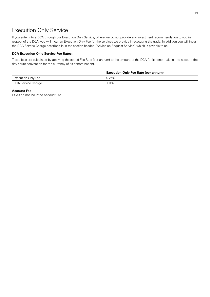### Execution Only Service

If you enter into a DCA through our Execution Only Service, where we do not provide any investment recommendation to you in respect of the DCA, you will incur an Execution Only Fee for the services we provide in executing the trade. In addition you will incur the DCA Service Charge described in in the section headed "Advice on Request Service" which is payable to us.

### **DCA Execution Only Service Fee Rates:**

These fees are calculated by applying the stated Fee Rate (per annum) to the amount of the DCA for its tenor (taking into account the day count convention for the currency of its denomination).

|                    | <b>Execution Only Fee Rate (per annum)</b> |
|--------------------|--------------------------------------------|
| Execution Only Fee | 0.25%                                      |
| DCA Service Charge | 1.0%                                       |

### **Account Fee**

DCAs do not incur the Account Fee.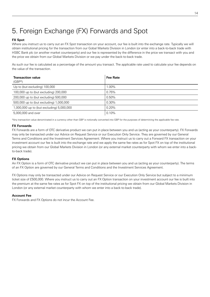# 5. Foreign Exchange (FX) Forwards and Spot

### **FX Spot**

Where you instruct us to carry out an FX Spot transaction on your account, our fee is built into the exchange rate. Typically we will obtain institutional pricing for the transaction from our Gobal Markets Division in London (or enter into a back-to-back trade with HSBC Bank plc (or another market counterparty) and our fee is represented by the difference in the price we transact with you and the price we obtain from our Global Markets Division or we pay under the back-to-back trade.

As such our fee is calculated as a percentage of the amount you transact. The applicable rate used to calculate your fee depends on the value of the transaction.

| <b>Transaction value</b><br>$(GBP*)$      | <b>Fee Rate</b> |
|-------------------------------------------|-----------------|
| Up to (but excluding) 100,000             | $00\%$          |
| 100,000 up to (but excluding) 200,000     | 0.75%           |
| 200,000 up to (but excluding) 500,000     | 0.50%           |
| 500,000 up to (but excluding) 1,000,000   | 0.30%           |
| 1,000,000 up to (but excluding) 5,000,000 | 0.20%           |
| 5,000,000 and over                        | 0.10%           |

\*Any transaction value denominated in a currency other than GBP is notionally converted into GBP for the purposes of determining the applicable fee rate.

### **FX Forwards**

FX Forwards are a form of OTC derivative product we can put in place between you and us (acting as your counterparty). FX Forwards may only be transacted under our Advice on Request Service or our Execution Only Service. They are governed by our General Terms and Conditions and the Investment Services Agreement. Where you instruct us to carry out a Forward FX transaction on your investment account our fee is built into the exchange rate and we apply the same fee rates as for Spot FX on top of the institutional pricing we obtain from our Global Markets Division in London (or any external market counterparty with whom we enter into a backto-back trade).

### **FX Options**

An FX Option is a form of OTC derivative product we can put in place between you and us (acting as your counterparty). The terms of an FX Option are governed by our General Terms and Conditions and the Investment Services Agreement.

FX Options may only be transacted under our Advice on Request Service or our Execution Only Service but subject to a minimum ticket size of £500,000. Where you instruct us to carry out an FX Option transaction on your investment account our fee is built into the premium at the same fee rates as for Spot FX on top of the institutional pricing we obtain from our Global Markets Division in London (or any external market counterparty with whom we enter into a back-to-back trade).

### **Account Fee**

FX Forwards and FX Options do not incur the Account Fee.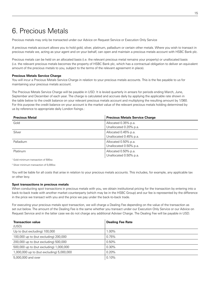# 6. Precious Metals

Precious metals may only be transacted under our Advice on Request Service or Execution Only Service

A precious metals account allows you to hold gold, silver, platinum, palladium or certain other metals. Where you wish to transact in precious metals we, acting as your agent and on your behalf, can open and maintain a precious metals account with HSBC Bank plc.

Precious metals can be held on an allocated basis (i.e. the relevant precious metal remains your property) or unallocated basis (i.e. the relevant precious metals becomes the property of HSBC Bank plc, which has a contractual obligation to deliver an equivalent amount of the precious metals to you, subject to the terms of the relevant agreement in place).

### **Precious Metals Service Charge**

You will incur a Precious Metals Service Charge in relation to your precious metals accounts. This is the fee payable to us for maintaining your precious metals account.

The Precious Metals Service Charge will be payable in USD. It is levied quarterly in arrears for periods ending March, June, September and December of each year. The charge is calculated and accrues daily by applying the applicable rate shown in the table below to the credit balance on your relevant precious metals account and multiplying the resulting amount by 1/360. For this purpose the credit balance on your account is the market value of the relevant precious metals holding determined by us by reference to appropriate daily London fixings.:

| <b>Precious Metal</b> | <b>Precious Metals Service Charge</b>          |
|-----------------------|------------------------------------------------|
| Gold                  | Allocated 0.35% p.a.<br>Unallocated 0.20% p.a. |
| Silver                | Allocated 0.45% p.a.<br>Unallocated 0.45% p.a. |
| Palladium             | Allocated 0.50% p.a.<br>Unallocated 0.50% p.a. |
| Platinum              | Allocated 0.50% p.a.<br>Unallocated 0.50% p.a. |

1 Gold minimum transaction of 500oz.

2 Silver minimum transaction of 5,000oz.

You will be liable for all costs that arise in relation to your precious metals accounts. This includes, for example, any applicable tax or other levy.

#### **Spot transactions in precious metals**

When conducting spot transactions in precious metals with you, we obtain institutional pricing for the transaction by entering into a back-to-back trade with another market counterparty (which may be in the HSBC Group) and our fee is represented by the difference in the price we transact with you and the price we pay under the back-to-back trade.

For executing your precious metals spot transaction, we will charge a Dealing Fee depending on the value of the transaction as set out below. The amount of the Dealing Fee is the same whether you transact under our Execution Only Service or our Advice on Request Service and in the latter case we do not charge any additional Adviser Charge. The Dealing Fee will be payable in USD.

| <b>Transaction value</b><br>(USD)         | <b>Dealing Fee Rate</b> |
|-------------------------------------------|-------------------------|
| Up to (but excluding) 100,000             | 1.00%                   |
| 100,000 up to (but excluding) 200,000     | 0.75%                   |
| 200,000 up to (but excluding) 500,000     | $0.50\%$                |
| 500,000 up to (but excluding) 1,000,000   | $0.30\%$                |
| 1,000,000 up to (but excluding) 5,000,000 | 0.20%                   |
| 5,000,000 and over                        | 0.10%                   |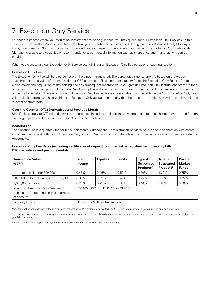### 7. Execution Only Service

For those instances where you require no investment advice or guidance, you may qualify for our Execution Only Services. In this case your Relationship Management team can take your execution only instructions during Guernsey Business Days, Monday to Friday from 8am to 5.30pm and arrange for transactions you request to be executed and settled on your behalf. Your Relationship Manager is unable to give advice or recommendations, but factual information such as share price and market activity can be provided.

When you elect to use our Execution Only Service you will incur an Execution Only Fee payable for each transaction.

### **Execution Only Fee**

The Execution Only Fee will be a percentage of the amount transacted. The percentage rate we apply is based on the type of investment and the value of the transaction or GBP equivalent. Please note for liquidity funds the Execution Only Fee is a flat fee which covers the acquisition of the holding and any subsequent redemption. If you give us Execution Only instructions for more than one investment you will pay the Execution Only Fee applicable to each investment type. The rates and flat fee (as applicable) are set out in the table below. There is a minimum Execution Only Fee per transaction as shown in the table below. Your Execution Only Fee will be debited from cash held within your Execution Only account on the day that the transaction settles and will be confirmed in the relevant contract note.

### **Over the Counter (OTC) Derivatives and Precious Metals**

Specific fees apply to OTC related services and products including dual currency investments, foreign exchange forwards and foreign exchange options and to services in respect of precious metals.

### **Account Fee**

The Account Fee is a quarterly fee for the supplemental Custody and Administration Services we provide in connection with assets and investments held within your Execution Only account. Section 9 of this Schedule explains the basis upon which we calculate the Account Fee.

### **Execution Only Fee Rates (excluding certificates of deposit, commercial paper, short term treasury bills<sup>1</sup>, OTC derivatives and precious metals)**

| <b>Transaction Value</b><br>$(GBP*)$                                                    | <b>Fixed</b><br><b>Income</b> | <b>Equities</b>                   | <b>Funds</b> | <b>Type A</b><br><b>Structured</b><br>Products <sup>2</sup> | <b>Type B</b><br><b>Structured</b><br>Products <sup>2</sup> | <b>Private</b><br><b>Market</b><br><b>Funds</b> |
|-----------------------------------------------------------------------------------------|-------------------------------|-----------------------------------|--------------|-------------------------------------------------------------|-------------------------------------------------------------|-------------------------------------------------|
| Up to (but excluding) 500,000                                                           | 0.45%                         | 0.45%                             | 0.50%        | 0.50%                                                       | 1.00%                                                       | 0.75%                                           |
| 500,000 up to (but excluding) 1,000,000                                                 | 0.35%                         | 0.35%                             | 0.40%        | 0.45%                                                       | $0.90\%$                                                    | 0.75%                                           |
| 1,000,000 and over                                                                      | 0.25%                         | 0.25%                             | 0.35%        | 0.40%                                                       | 0.80%                                                       | $0.50\%$                                        |
| Minimum Execution Only Fee per<br>transaction (depending on base currency<br>of account |                               | GBP100; USD150; EUR120; or CHF150 |              |                                                             |                                                             |                                                 |
| Liquidity Funds                                                                         |                               | Flat fee GBP100 per transaction   |              |                                                             |                                                             |                                                 |

\*Any transaction value denominated in a currency other than GBP is notionally converted into GBP for the purposes of determining the applicable fee rate.

<sup>1</sup> For this purpose a short term treasury bill is a government issued short term debt with a maturity of one year or less or government issued securities with less than one year left to maturity.

2 For an explanation of Type A and Type B Structured Products see the Introduction to this Schedule.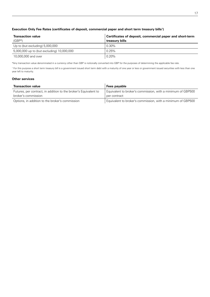### **Execution Only Fee Rates (certificates of deposit, commercial paper and short term treasury bills1)**

| <b>Transaction value</b><br>$(GBP*)$       | Certificates of deposit, commercial paper and short-term<br>treasury bills |
|--------------------------------------------|----------------------------------------------------------------------------|
| Up to (but excluding) 5,000,000            | $0.30\%$                                                                   |
| 5,000,000 up to (but excluding) 10,000,000 | 0.25%                                                                      |
| 10,000,000 and over                        | $0.20\%$                                                                   |

\*Any transaction value denominated in a currency other than GBP is notionally converted into GBP for the purposes of determining the applicable fee rate.

<sup>1</sup> For this purpose a short term treasury bill is a government issued short term debt with a maturity of one year or less or government issued securities with less than one year left to maturity.

#### **Other services**

| <b>Transaction value</b>                                         | Fees payable                                                |
|------------------------------------------------------------------|-------------------------------------------------------------|
| Futures, per contract, in addition to the broker's Equivalent to | Equivalent to broker's commission, with a minimum of GBP500 |
| broker's commission                                              | per contract                                                |
| Options, in addition to the broker's commission                  | Equivalent to broker's commission, with a minimum of GBP500 |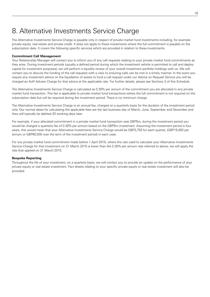### 8. Alternative Investments Service Charge

The Alternative Investments Service Charge is payable only in respect of private market fund investments including, for example private equity, real estate and private credit. It does not apply to these investments where the full commitment is payable on the subscription date. It covers the following specific services which are provided in relation to these investments.

### **Commitment Call Management**

Your Relationship Manager will contact you to inform you of any call requests relating to your private market fund commitments as they arise. During investment periods (usually a defined period during which the investment vehicle is permitted to call and deploy capital for investment purposes), we will perform a liquidity review of your overall investment portfolio holdings with us. We will contact you to discuss the funding of the call requests with a view to ensuring calls can be met in a timely manner. In the event you require any investment advice on the liquidation of assets to fund a call request under our Advice on Request Service you will be charged an AoR Adviser Charge for that advice at the applicable rate. For further details, please see Sections 3 of this Schedule.

The Alternative Investments Service Charge is calculated as 0.30% per annum of the commitment you are allocated in any private market fund transaction. This fee is applicable to private market fund transactions where the full commitment is not required on the subscription date but will be required during the investment period. There is no minimum charge.

The Alternative Investments Service Charge is an annual fee, charged on a quarterly basis for the duration of the investment period only. Our normal dates for calculating the applicable fees are the last business day of March, June, September and December and they will typically be debited 20 working days later.

For example, if your allocated commitment in a private market fund transaction was GBP5m, during the investment period you would be charged a quarterly fee of 0.30% per annum based on the GBP5m investment. Assuming the investment period is four years, this would mean that your Alternative Investments Service Charge would be GBP3,750 for each quarter, (GBP15,000 per annum or GBP60,000 over the term of the investment period) in each case.

For any private market fund commitment made before 1 April 2015, where the rate used to calculate your Alternative Investments Service Charge for that investment on 31 March 2015 is lower than the 0.30% per annum rate referred to above, we will apply the rate that applied on 31 March 2015.

### **Bespoke Reporting**

Throughout the life of your investment, on a quarterly basis, we will contact you to provide an update on the performance of your private equity or real estate investment. Fact sheets relating to your specific private equity or real estate investment will also be provided.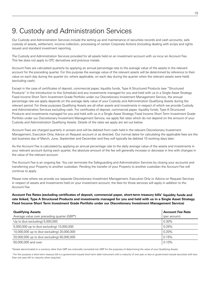### 9. Custody and Administration Services

Our Custody and Administration Services include the setting up and maintenance of securities records and cash accounts, safe custody of assets, settlement, income collection, processing of certain Corporate Actions (including dealing with scrips and rights issues) and standard investment reporting.

The Custody and Administration Services provided for all assets held on an investment account with us incur an Account Fee. This fee does not apply to OTC derivatives and precious metals.

Account Fees are calculated quarterly by applying an annual percentage rate to the average value of the assets in the relevant account for the preceding quarter. For this purpose the average value of the relevant assets will be determined by reference to their value on each day during the quarter (or, where applicable, on each day during the quarter when the relevant assets were held) (excluding cash).

Except in the case of certificates of deposit, commercial paper, liquidity funds, Type A Structured Products (see "Structured Products" in the Introduction to this Schedule) and any investments managed for you and held with us in a Single Asset Strategy Fixed Income Short Term Investment Grade Portfolio under our Discretionary Investment Management Service, the annual percentage rate we apply depends on the average daily value of your Custody and Administration Qualifying Assets during the relevant period. For these purposes Qualifying Assets are all other assets and investments in respect of which we provide Custody and Administration Services excluding cash. For certificates of deposit, commercial paper, liquidity funds, Type A Structured Products and investments managed for you and held with us in a Single Asset Strategy Fixed Income Short Term Investment Grade Portfolio under our Discretionary Investment Management Service, we apply flat rates which do not depend on the amount of your Custody and Administration Qualifying Assets. Details of the rates we apply are set out below.

Account Fees are charged quarterly in arrears and will be debited from cash held in the relevant Discretionary Investment Management, Execution Only, Advice on Request account or as directed. Our normal dates for calculating the applicable fees are the last business day of March, June, September and December and they will typically be debited 10 working days later.

As the Account Fee is calculated by applying an annual percentage rate to the daily average value of the assets and investments in your relevant account during each quarter, the absolute amount of the fee will generally increase or decrease in line with changes in the value of the relevant account.

The Account Fee is an ongoing fee. You can terminate the Safeguarding and Administration Services by closing your accounts and transferring your Property to another custodian. Pending the transfer of your Property to another custodian the Account Fee will continue to apply.

Please note where we provide our separate Discretionary Investment Management, Execution Only or Advice on Request Services in respect of assets and investments held on your investment account, the fees for those services will apply in addition to the Account Fee.

Account Fee Rates (excluding certificates of deposit, commercial paper, short-term treasury bills<sup>1</sup> liquidity funds and **rate linked, Type A Structured Products and investments managed for you and held with us in a Single Asset Strategy Fixed Income Short Term Investment Grade Portfolio under our Discretionary Investment Management Service)** 

| <b>Qualifying Assets</b>                    | <b>Account Fee Rate</b> |
|---------------------------------------------|-------------------------|
| Average value over preceding quarter (GBP*) | (per annum)             |
| Up to (but excluding) 5,000,000             | 0.30%                   |
| 5,000,000 up to (but excluding) 10,000,000  | 0.25%                   |
| 10,000,000 up to (but excluding) 20,000,000 | 0.20%                   |
| 20,000,000 up to (but excluding) 50,000,000 | 0.15%                   |
| 50,000,000 and over                         | 0.10%                   |

\*Assets denominated in a currency other than GBP are notionally converted into GBP for the purposes of determining the value of your Qualifying Assets.

<sup>1</sup> For this purpose a short-term treasury bill is a government-issued short-term debt instrument with a maturity of one year or less or government-issued securities with less than one year left to maturity when acquired.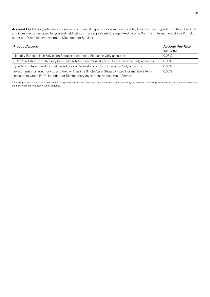**Account Fee Rates** (certificates of deposit, commercial paper, short-term treasury bills<sup>1</sup>, liquidity funds, Type A Structured Products and investments managed for you and held with us in a Single Asset Strategy Fixed Income Short Term Investment Grade Portfolio under our Discretionary Investment Management Service)

| <b>Product/Account</b>                                                                                                                                                              | <b>Account Fee Rate</b><br>(per annum) |
|-------------------------------------------------------------------------------------------------------------------------------------------------------------------------------------|----------------------------------------|
| Liquidity Funds held in Advice on Request accounts or Execution Only accounts                                                                                                       | $0.05\%$                               |
| CD/CP and short-term treasury bills <sup>1</sup> held in Advice on Request accounts or Execution Only accounts                                                                      | 0.05%                                  |
| Type A Structured Products held in Advice on Request accounts or Execution Only accounts                                                                                            | $0.05\%$                               |
| Investments managed for you and held with us in a Single Asset Strategy Fixed Income Short Term<br>Investment Grade Portfolio under our Discretionary Investment Management Service | $0.05\%$                               |

<sup>1</sup> For this purpose a short-term treasury bill is a government-issued short-term debt instrument with a maturity of one year or less or government-issued securities with less than one year left to maturity when acquired.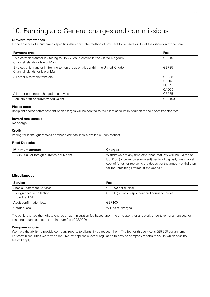# 10. Banking and General charges and commissions

### **Outward remittances**

In the absence of a customer's specific instructions, the method of payment to be used will be at the discretion of the bank.

| Payment type                                                                                                           | Fee                                          |
|------------------------------------------------------------------------------------------------------------------------|----------------------------------------------|
| By electronic transfer in Sterling to HSBC Group entities in the United Kingdom,<br>Channel Islands or Isle of Man     | GBP10                                        |
| By electronic transfer in Sterling to non-group entities within the United Kingdom,<br>Channel Islands, or Isle of Man | GBP25                                        |
| All other electronic transfers                                                                                         | GBP35<br>USD45<br>FUR45<br>CAD <sub>50</sub> |
| All other currencies charged at equivalent                                                                             | GBP35                                        |
| Bankers draft or currency equivalent                                                                                   | GBP100                                       |

#### **Please note:**

Recipient and/or correspondent bank charges will be debited to the client account in addition to the above transfer fees.

### **Inward remittances**

No charge.

### **Credit**

Pricing for loans, guarantees or other credit facilities is available upon request.

### **Fixed Deposits**

| Minimum amount                           | <b>Charges</b>                                                                                                                                                                                                                                     |
|------------------------------------------|----------------------------------------------------------------------------------------------------------------------------------------------------------------------------------------------------------------------------------------------------|
| USD50,000 or foreign currency equivalent | Withdrawals at any time other than maturity will incur a fee of<br>USD100 (or currency equivalent) per fixed deposit, plus market<br>cost of funds for replacing the deposit or the amount withdrawn<br>for the remaining lifetime of the deposit. |

### **Miscellaneous**

| <b>Service</b>                             | <b>Fee</b>                                     |
|--------------------------------------------|------------------------------------------------|
| <b>Special Statement Services</b>          | GBP200 per quarter                             |
| Foreign cheque collection<br>Excluding USD | GBP50 (plus correspondent and courier charges) |
| Audit confirmation letter                  | GBP100                                         |
| <b>Courier Fees</b>                        | Will be re-charged                             |

The bank reserves the right to charge an administration fee based upon the time spent for any work undertaken of an unusual or exacting nature, subject to a minimum fee of GBP200.

### **Company reports**

We have the ability to provide company reports to clients if you request them. The fee for this service is GBP250 per annum. For certain securities we may be required by applicable law or regulation to provide company reports to you in which case no fee will apply.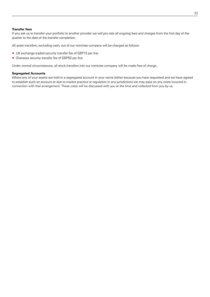### **Transfer fees**

If you ask us to transfer your portfolio to another provider we will pro-rate all ongoing fees and charges from the first day of the quarter to the date of the transfer completion.

All asset transfers, excluding cash, out of our nominee company will be charged as follows:

- ® UK exchange traded security transfer fee of GBP15 per line
- ® Overseas security transfer fee of GBP50 per line

Under normal circumstances, all stock transfers into our nominee company will be made free of charge.

### **Segregated Accounts**

Where any of your assets are held in a segregated account in your name (either because you have requested and we have agreed to establish such an account or due to market practice or regulation in any jurisdiction) we may pass on any costs incurred in connection with that arrangement. These costs will be discussed with you at the time and collected from you by us.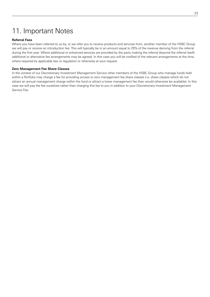# 11. Important Notes

### **Referral Fees**

Where you have been referred to us by, or we refer you to receive products and services from, another member of the HSBC Group we will pay or receive an introduction fee. This will typically be in an amount equal to 25% of the revenue deriving from the referral during the first year. Where additional or enhanced services are provided by the party making the referral (beyond the referral itself) additional or alternative fee arrangements may be agreed. In this case you will be notified of the relevant arrangements at the time, where required by applicable law or regulation or otherwise at your request.

### **Zero Management Fee Share Classes**

In the context of our Discretionary Investment Management Service other members of the HSBC Group who manage funds held within a Portfolio may charge a fee for providing access to zero management fee share classes (i.e. share classes which do not attract an annual management charge within the fund or attract a lower management fee than would otherwise be available). In this case we will pay the fee ourselves rather than charging this fee to you in addition to your Discretionary Investment Management Service Fee.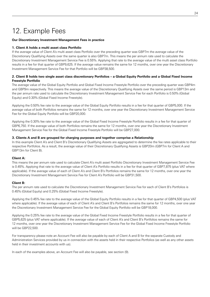# 12. Example Fees

### **Our Discretionary Investment Management Fees in practice**

### **1. Client A holds a multi asset class Portfolio**

If the average value of Client A's multi asset class Portfolio over the preceding quarter was GBP7m the average value of the Discretionary Qualifying Assets over the same quarter is also GBP7m. This means the per annum rate used to calculate the Discretionary Investment Management Service Fee is 0.55%. Applying that rate to the average value of the multi asset class Portfolio results in a fee for that quarter of GBP9,625. If the average value remains the same for 12 months, over one year the Discretionary Investment Management Service Fee for that Portfolio will be GBP38,500.

### **2. Client B holds two single asset class discretionary Portfolios – a Global Equity Portfolio and a Global Fixed Income Freestyle Portfolio**

The average value of the Global Equity Portfolio and Global Fixed Income Freestyle Portfolio over the preceding quarter was GBP4m and GBP9m respectively. This means the average value of the Discretionary Qualifying Assets over the same period is GBP13m and the per annum rate used to calculate the Discretionary Investment Management Service Fee for each Portfolio is 0.50% (Global Equity) and 0.30% (Global Fixed Income Freestyle).

Applying the 0.50% fee rate to the average value of the Global Equity Portfolio results in a fee for that quarter of GBP5,000. If the average value of both Portfolios remains the same for 12 months, over one year the Discretionary Investment Management Service Fee for the Global Equity Portfolio will be GBP20,000.

Applying the 0.30% fee rate to the average value of the Global Fixed Income Freestyle Portfolio results in a fee for that quarter of GBP6,750. If the average value of both Portfolios remains the same for 12 months, over one year the Discretionary Investment Management Service Fee for the Global Fixed Income Freestyle Portfolio will be GBP27,000.

### **3. Clients A and B are grouped for charging purposes and together comprise a Relationship**

In this example Client A's and Client B's Discretionary Qualifying Assets are aggregated to determine the fee rates applicable to their respective Portfolios. As a result, the average value of their Discretionary Qualifying Assets is GBP20m (GBP7m for Client A and GBP13m for Client B).

### **Client A:**

This means the per annum rate used to calculate Client A's multi asset Portfolio Discretionary Investment Management Service Fee is 0.45%. Applying that rate to the average value of Client A's Portfolio results in a fee for that quarter of GBP7,875 (plus VAT where applicable). If the average value of each of Client A's and Client B's Portfolios remains the same for 12 months, over one year the Discretionary Investment Management Service Fee for Client A's Portfolio will be GBP31,500.

### **Client B:**

The per annum rate used to calculate the Discretionary Investment Management Service Fee for each of Client B's Portfolios is 0.45% (Global Equity) and 0.25% (Global Fixed Income Freestyle).

Applying the 0.45% fee rate to the average value of the Global Equity Portfolio results in a fee for that quarter of GBP4,500 (plus VAT where applicable). If the average value of each of Client A's and Client B's Portfolios remains the same for 12 months, over one year the Discretionary Investment Management Service Fee for the Global Equity Portfolio will be GBP18,000.

Applying the 0.25% fee rate to the average value of the Global Fixed Income Freestyle Portfolio results in a fee for that quarter of GBP5,625 (plus VAT where applicable). If the average value of each of Client A's and Client B's Portfolios remains the same for 12 months, over one year the Discretionary Investment Management Service Fee for the Global Fixed Income Freestyle Portfolio will be GBP22,500.

For transparency please note an Account Fee will also be payable by each of Client A and B for the separate Custody and Administration Services provided by us in connection with the assets held in their respective Portfolios (as well as any other assets held in their investment accounts with us).

In each of the examples above, an Account Fee will also be payable, see section (9).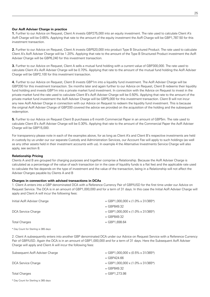### **Our AoR Adviser Charge in practice**

**1.** Further to our Advice on Request, Client A invests GBP275,000 into an equity investment. The rate used to calculate Client A's AoR Charge will be 0.65%. Applying that rate to the amount of the equity investment the AoR Charge will be GBP1,787.50 for this investment transaction.

**2.** Further to our Advice on Request, Client A invests GBP520,000 into product Type B Structured Product. The rate used to calculate Client A's AoR Adviser Charge will be 1.20%. Applying that rate to the amount of the Type B Structured Product investment the AoR Adviser Charge will be GBP6,240 for this investment transaction.

**3.** Further to our Advice on Request, Client A sells a mutual fund holding with a current value of GBP300,000. The rate used to calculate Client A's AoR Adviser Charge will be 0.70%. Applying that rate to the amount of the mutual fund holding the AoR Adviser Charge will be GBP2,100 for this investment transaction.

**4.** Further to our Advice on Request, Client B invests GBP1m into a liquidity fund investment. The AoR Adviser Charge will be GBP200 for this investment transaction. Six months later and again further to our Advice on Request, Client B redeems their liquidity fund holding and invests GBP1m into a private market fund investment. In connection with the Advice on Request to invest in the private market fund the rate used to calculate Client B's AoR Adviser Charge will be 0.50%. Applying that rate to the amount of the private market fund investment the AoR Adviser Charge will be GBP5,000 for this investment transaction. Client B will not incur any new AoR Adviser Charge in connection with our Advice on Request to redeem the liquidity fund investment. This is because the original AoR Adviser Charge of GBP200 covered the advice we provided on the acquisition of the holding and the subsequent redemption.

**5.** Further to our Advice on Request Client B purchases a 6 month Commercial Paper in an amount of GBP5m. The rate used to calculate Client B's AoR Adviser Charge will be 0.30%. Applying that rate to the amount of the Commercial Paper the AoR Adviser Charge will be GBP15,000.

For transparency please note in each of the examples above, for as long as Client A's and Client B's respective investments are held in custody by us under our our separate Custody and Administration Services, our Account Fee will apply to such holdings (as well as any other assets held in their investment accounts with us). In example 4 the Alternative Investments Service Charge will also apply, see section 8.

### **Relationship Pricing**

Clients A and B are grouped for charging purposes and together comprise a Relationship. Because the AoR Adviser Charge is calculated as a percentage of the value of each transaction (or in the case of liquidity funds is a flat fee) and the applicable rate used to calculate the fee depends on the type of investment and the value of the transaction, being in a Relationship will not affect the Adviser Charges payable by Clients A and B

### **Charges in connection with advised transactions in DCAs**

1. Client A enters into a GBP denominated DCA with a Reference Currency Pair of GBP/USD for the first time under our Advice on Request Service. The DCA is in an amount of GBP1,000,000 and for a term of 31 days. In this case the Initial AoR Adviser Charge will apply and Client A will incur the following fees:

| Initial AoR Adviser Charge | $=$ GBP1,000,000 x (1.0% x 31/365*) |
|----------------------------|-------------------------------------|
|                            | $=$ GBP849.32                       |
| DCA Service Charge         | $=$ GBP1,000,000 x (1.0% x 31/365*) |
|                            | $=$ GBP849.32                       |
| <b>Total Charges</b>       | $=$ GBP1.698.64                     |

\* Day Count for Sterling is 365 days

2. Client A subsequently enters into another GBP denominated DCA under our Advice on Request Service with a Reference Currency Pair of GBP/USD. Again the DCA is in an amount of GBP1,000,000 and for a term of 31 days. Here the Subsequent AoR Adviser Charge will apply and Client A will incur the following fees:

| Subsequent AoR Adviser Charge | $=$ GBP1,000,000 x (0.5% x 31/365*) |
|-------------------------------|-------------------------------------|
|                               | $=$ GBP424.66                       |
| DCA Service Charge            | $=$ GBP1,000,000 x (1.0% x 31/365*) |
|                               | $=$ GBP849.32                       |
| <b>Total Charges</b>          | $=$ GBP1.273.98                     |

\* Day Count for Sterling is 365 days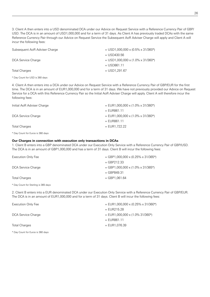3. Client A then enters into a USD denominated DCA under our Advice on Request Service with a Reference Currency Pair of GBP/ USD. The DCA is in an amount of USD1,000,000 and for a term of 31 days. As Client A has previously traded DCAs with the same Reference Currency Pair through our Advice on Request Service the Subsequent AoR Adviser Charge will apply and Client A will incur the following fees:

| Subsequent AoR Adviser Charge | $=$ USD1,000,000 x (0.5% x 31/360*) |
|-------------------------------|-------------------------------------|
|                               | $=$ USD430.56                       |
| DCA Service Charge            | $=$ USD1,000,000 x (1.0% x 31/360*) |
|                               | $=$ USD861.11                       |
| <b>Total Charges</b>          | $=$ USD1.291.67                     |

\* Day Count for USD is 360 days

4. Client A then enters into a DCA under our Advice on Request Service with a Reference Currency Pair of GBP/EUR for the first time. The DCA is in an amount of EUR1,000,000 and for a term of 31 days. We have not previously provided our Advice on Request Service for a DCA with this Reference Currency Pair so the Initial AoR Adviser Charge will apply. Client A will therefore incur the following fees:

| $=$ EUR1,000,000 x (1.0% x 31/360*) |
|-------------------------------------|
|                                     |
| $=$ EUR1,000,000 x (1.0% x 31/360*) |
|                                     |
|                                     |
|                                     |

\* Day Count for Euros is 360 days

### **Our Charges in connection with execution only transactions in DCAs**

1. Client B enters into a GBP denominated DCA under our Execution Only Service with a Reference Currency Pair of GBP/USD. The DCA is in an amount of GBP1,000,000 and has a term of 31 days. Client B will incur the following fees:

| Execution Only Fee   | $=$ GBP1,000,000 x (0.25% x 31/365*) |
|----------------------|--------------------------------------|
|                      | $=$ GBP212.33                        |
| DCA Service Charge   | $=$ GBP1,000,000 x (1.0% x 31/365*)  |
|                      | $=$ GBP849.31                        |
| <b>Total Charges</b> | $=$ GBP1,061.64                      |
|                      |                                      |

\* Day Count for Sterling is 365 days

2. Client B enters into a EUR denominated DCA under our Execution Only Service with a Reference Currency Pair of GBP/EUR. The DCA is in an amount of EUR1,000,000 and for a term of 31 days. Client B will incur the following fees:

| Execution Only Fee | $=$ EUR1,000,000 x (0.25% x 31/360*) |
|--------------------|--------------------------------------|
|                    | $=$ EUR215.28                        |
| DCA Service Charge | $=$ EUR1,000,000 x (1.0% 31/360*)    |
|                    | $=$ EUR861.11                        |
| Total Charges      | $=$ EUR1.076.39                      |
|                    |                                      |

\* Day Count for Euros is 360 days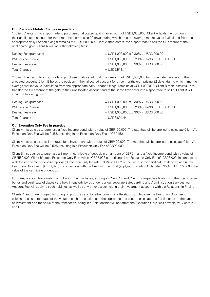### **Our Precious Metals Charges in practice**

1. Client A enters into a spot trade to purchase unallocated gold in an amount of USD1,000,000. Client A holds the position in their unallocated account for three months (comprising 92 days) during which time the average market value (calculated from the appropriate daily London fixings) remains at USD1,000,000. Client A then enters into a spot trade to sell the full amount of the unallocated gold. Client A will incur the following fees:

| Dealing Fee (purchase)   | $=$ USD1.000.000 x 0.30% = USD3.000.00          |
|--------------------------|-------------------------------------------------|
| <b>PM Service Charge</b> | $=$ USD1,000,000 x (0.20% x 92/360) = USD511.11 |
| Dealing Fee (sale)       | $=$ USD1,000,000 x 0.30% = USD3,000.00          |
| <b>Total Charges</b>     | $=$ USD6.511.11                                 |

2. Client B enters into a spot trade to purchase unallocated gold in an amount of USD1,000,000 for immediate transfer into their allocated account. Client B holds the position in their allocated account for three months (comprising 92 days) during which time the average market value (calculated from the appropriate daily London fixings) remains at USD1,000,000. Client B then instructs us to transfer the full amount of the gold to their unallocated account and at the same time enter into a spot trade to sell it. Client B will incur the following fees:

| Dealing Fee (purchase    | $=$ USD1,000,000 x 0.30% = USD3,000.00          |
|--------------------------|-------------------------------------------------|
| <b>PM Service Charge</b> | $=$ USD1,000,000 x (0.20% x 92/360) = USD511.11 |
| Dealing Fee (sale        | $=$ USD1,000,000 x 0.30% = USD3,000.00          |
| <b>Total Charges</b>     | = USD6.894.44                                   |

#### **Our Execution Only Fee in practice**

Client A instructs us to purchase a fixed income bond with a value of GBP100,000. The rate that will be applied to calculate Client A's Execution Only Fee will be 0.45% resulting in an Execution Only Fee of GBP450.

Client A instructs us to sell a mutual fund investment with a value of GBP400,000. The rate that will be applied to calculate Client A's Execution Only Fee will be 0.50% resulting in a Execution Only Fee of GBP2,000.

Client B instructs us to purchase a 3 month certificate of deposit in an amount of GBP2m and a fixed income bond with a value of GBP550,000. Client B's total Execution Only Fees will be GBP7,925 comprising (i) an Execution Only Fee of [GBP6,000] in connection with the certificate of deposit (applying Execution Only fee rate 0.30% to GBP2m, the value of the certificate of deposit) and (ii) the Execution Only Fee of [GBP1,925] in connection with the fixed income bond (applying Execution Only rate 0.35% to GBP550,000, the value of the certificate of deposit).

For transparency please note that following the purchases, as long as Client A's and Client Bs respective holdings in the fixed income bonds and certificate of deposit are held in custody by us under our our separate Safeguarding and Administration Services, our Account Fee will apply to such holdings (as well as any other assets held in their investment accounts with us).Relationship Pricing

Clients A and B are grouped for charging purposes and together comprise a Relationship. Because the Execution Only Fee is calculated as a percentage of the value of each transaction and the applicable rate used to calculate the fee depends on the type of investment and the value of the transaction, being in a Relationship will not affect the Execution Only Fees payable by Clients A and B.